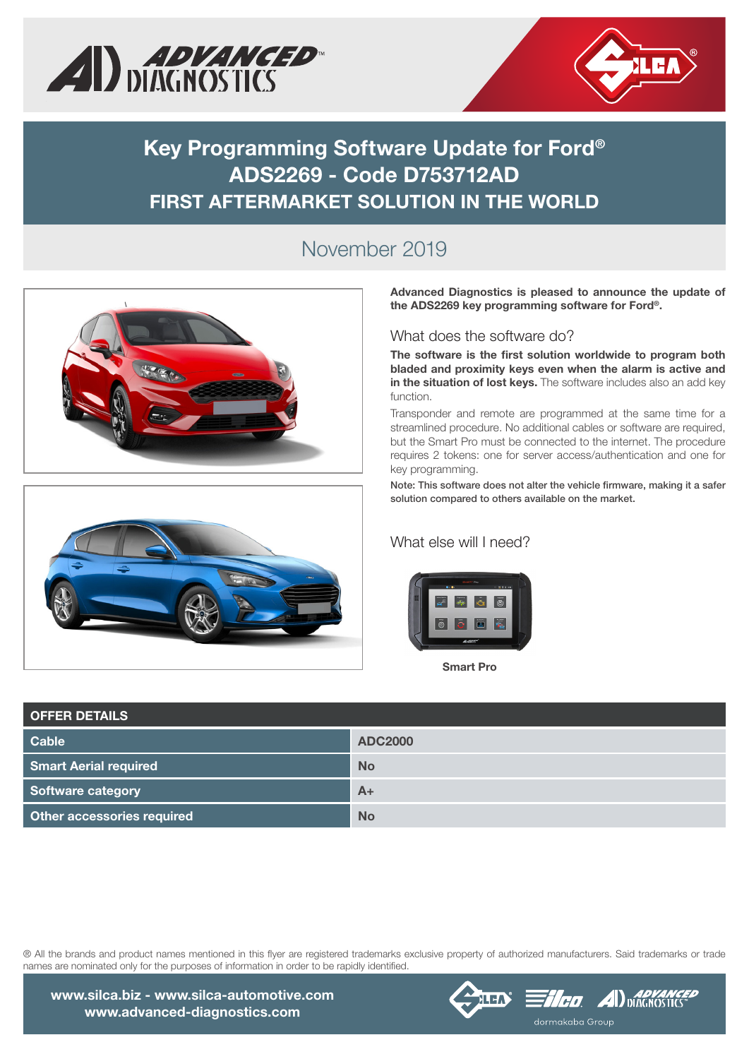



## **Key Programming Software Update for Ford® ADS2269 - Code D753712AD FIRST AFTERMARKET SOLUTION IN THE WORLD**

## November 2019





Advanced Diagnostics is pleased to announce the update of the ADS2269 key programming software for Ford®.

What does the software do?

**The software is the first solution worldwide to program both bladed and proximity keys even when the alarm is active and in the situation of lost keys.** The software includes also an add key function.

Transponder and remote are programmed at the same time for a streamlined procedure. No additional cables or software are required, but the Smart Pro must be connected to the internet. The procedure requires 2 tokens: one for server access/authentication and one for key programming.

Note: This software does not alter the vehicle firmware, making it a safer solution compared to others available on the market.

## What else will I need?



Smart Pro

| <b>OFFER DETAILS</b>              |                |
|-----------------------------------|----------------|
| <b>Cable</b>                      | <b>ADC2000</b> |
| <b>Smart Aerial required</b>      | <b>No</b>      |
| Software category                 | $A+$           |
| <b>Other accessories required</b> | <b>No</b>      |

® All the brands and product names mentioned in this flyer are registered trademarks exclusive property of authorized manufacturers. Said trademarks or trade names are nominated only for the purposes of information in order to be rapidly identified.